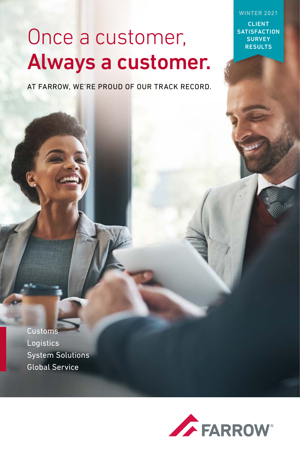WINTER 2021

CLIENT **SATISFACTION SURVEY RESULTS** 

# Once a customer, Always a customer.

AT FARROW, WE'RE PROUD OF OUR TRACK RECORD.

**Customs** Logistics System Solutions Global Service

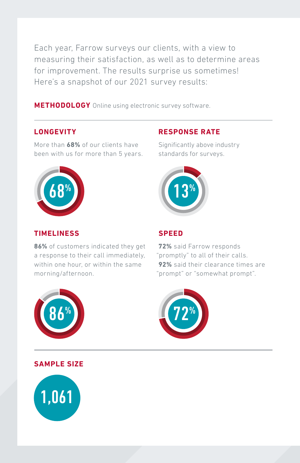Each year, Farrow surveys our clients, with a view to measuring their satisfaction, as well as to determine areas for improvement. The results surprise us sometimes! Here's a snapshot of our 2021 survey results:

**METHODOLOGY** Online using electronic survey software.

### **LONGEVITY**

More than **68%** of our clients have been with us for more than 5 years.



### **TIMELINESS**

**86%** of customers indicated they get a response to their call immediately, within one hour, or within the same morning/afternoon.

### **RESPONSE RATE**

Significantly above industry standards for surveys.



### **SPEED**

**72%** said Farrow responds "promptly" to all of their calls. **92%** said their clearance times are "prompt" or "somewhat prompt".





### **SAMPLE SIZE**

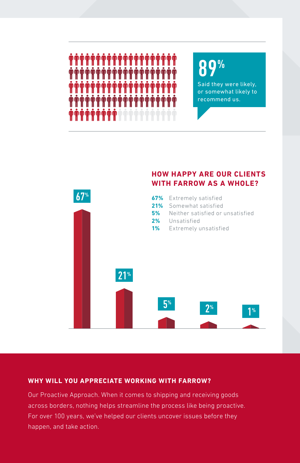

## $0%$

Said they were likely, or somewhat likely to recommend us.



### **WHY WILL YOU APPRECIATE WORKING WITH FARROW?**

Our Proactive Approach. When it comes to shipping and receiving goods across borders, nothing helps streamline the process like being proactive. For over 100 years, we've helped our clients uncover issues before they happen, and take action.